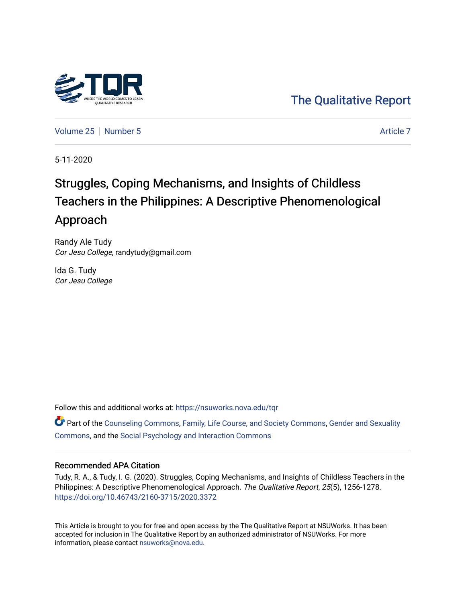

# [The Qualitative Report](https://nsuworks.nova.edu/tqr)

[Volume 25](https://nsuworks.nova.edu/tqr/vol25) [Number 5](https://nsuworks.nova.edu/tqr/vol25/iss5) [Article 7](https://nsuworks.nova.edu/tqr/vol25/iss5/7) Article 7

5-11-2020

# Struggles, Coping Mechanisms, and Insights of Childless Teachers in the Philippines: A Descriptive Phenomenological Approach

Randy Ale Tudy Cor Jesu College, randytudy@gmail.com

Ida G. Tudy Cor Jesu College

Follow this and additional works at: [https://nsuworks.nova.edu/tqr](https://nsuworks.nova.edu/tqr?utm_source=nsuworks.nova.edu%2Ftqr%2Fvol25%2Fiss5%2F7&utm_medium=PDF&utm_campaign=PDFCoverPages) 

Part of the [Counseling Commons,](http://network.bepress.com/hgg/discipline/1268?utm_source=nsuworks.nova.edu%2Ftqr%2Fvol25%2Fiss5%2F7&utm_medium=PDF&utm_campaign=PDFCoverPages) [Family, Life Course, and Society Commons](http://network.bepress.com/hgg/discipline/419?utm_source=nsuworks.nova.edu%2Ftqr%2Fvol25%2Fiss5%2F7&utm_medium=PDF&utm_campaign=PDFCoverPages), [Gender and Sexuality](http://network.bepress.com/hgg/discipline/420?utm_source=nsuworks.nova.edu%2Ftqr%2Fvol25%2Fiss5%2F7&utm_medium=PDF&utm_campaign=PDFCoverPages) [Commons](http://network.bepress.com/hgg/discipline/420?utm_source=nsuworks.nova.edu%2Ftqr%2Fvol25%2Fiss5%2F7&utm_medium=PDF&utm_campaign=PDFCoverPages), and the [Social Psychology and Interaction Commons](http://network.bepress.com/hgg/discipline/430?utm_source=nsuworks.nova.edu%2Ftqr%2Fvol25%2Fiss5%2F7&utm_medium=PDF&utm_campaign=PDFCoverPages) 

#### Recommended APA Citation

Tudy, R. A., & Tudy, I. G. (2020). Struggles, Coping Mechanisms, and Insights of Childless Teachers in the Philippines: A Descriptive Phenomenological Approach. The Qualitative Report, 25(5), 1256-1278. <https://doi.org/10.46743/2160-3715/2020.3372>

This Article is brought to you for free and open access by the The Qualitative Report at NSUWorks. It has been accepted for inclusion in The Qualitative Report by an authorized administrator of NSUWorks. For more information, please contact [nsuworks@nova.edu.](mailto:nsuworks@nova.edu)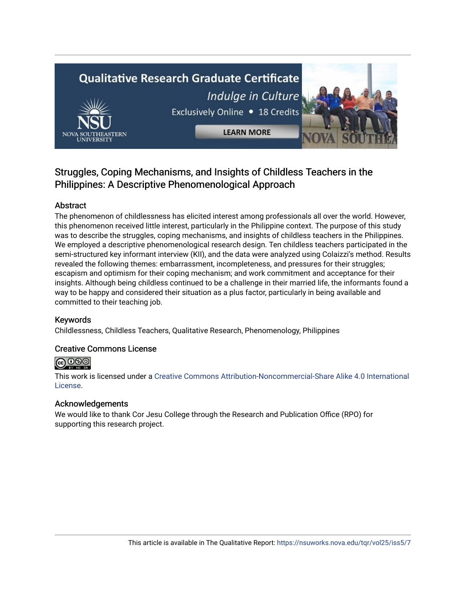# **Qualitative Research Graduate Certificate** Indulge in Culture Exclusively Online . 18 Credits

**LEARN MORE** 

### Struggles, Coping Mechanisms, and Insights of Childless Teachers in the Philippines: A Descriptive Phenomenological Approach

#### Abstract

The phenomenon of childlessness has elicited interest among professionals all over the world. However, this phenomenon received little interest, particularly in the Philippine context. The purpose of this study was to describe the struggles, coping mechanisms, and insights of childless teachers in the Philippines. We employed a descriptive phenomenological research design. Ten childless teachers participated in the semi-structured key informant interview (KII), and the data were analyzed using Colaizzi's method. Results revealed the following themes: embarrassment, incompleteness, and pressures for their struggles; escapism and optimism for their coping mechanism; and work commitment and acceptance for their insights. Although being childless continued to be a challenge in their married life, the informants found a way to be happy and considered their situation as a plus factor, particularly in being available and committed to their teaching job.

#### Keywords

Childlessness, Childless Teachers, Qualitative Research, Phenomenology, Philippines

#### Creative Commons License



This work is licensed under a [Creative Commons Attribution-Noncommercial-Share Alike 4.0 International](https://creativecommons.org/licenses/by-nc-sa/4.0/)  [License](https://creativecommons.org/licenses/by-nc-sa/4.0/).

#### Acknowledgements

We would like to thank Cor Jesu College through the Research and Publication Office (RPO) for supporting this research project.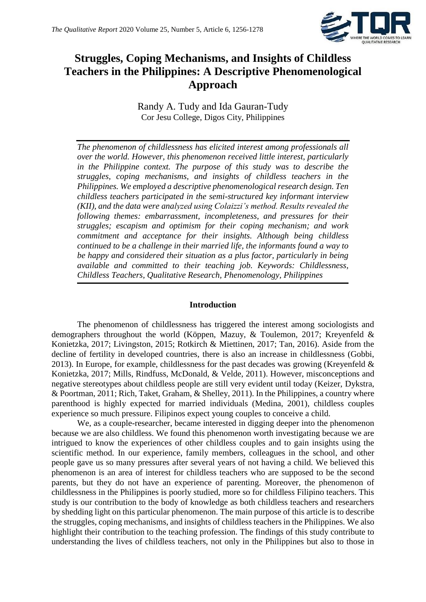

## **Struggles, Coping Mechanisms, and Insights of Childless Teachers in the Philippines: A Descriptive Phenomenological Approach**

Randy A. Tudy and Ida Gauran-Tudy Cor Jesu College, Digos City, Philippines

*The phenomenon of childlessness has elicited interest among professionals all over the world. However, this phenomenon received little interest, particularly in the Philippine context. The purpose of this study was to describe the struggles, coping mechanisms, and insights of childless teachers in the Philippines. We employed a descriptive phenomenological research design. Ten childless teachers participated in the semi-structured key informant interview (KII), and the data were analyzed using Colaizzi's method. Results revealed the following themes: embarrassment, incompleteness, and pressures for their struggles; escapism and optimism for their coping mechanism; and work commitment and acceptance for their insights. Although being childless continued to be a challenge in their married life, the informants found a way to be happy and considered their situation as a plus factor, particularly in being available and committed to their teaching job. Keywords: Childlessness, Childless Teachers, Qualitative Research, Phenomenology, Philippines*

#### **Introduction**

The phenomenon of childlessness has triggered the interest among sociologists and demographers throughout the world (Köppen, Mazuy, & Toulemon, 2017; Kreyenfeld & Konietzka, 2017; Livingston, 2015; Rotkirch & Miettinen, 2017; Tan, 2016). Aside from the decline of fertility in developed countries, there is also an increase in childlessness (Gobbi, 2013). In Europe, for example, childlessness for the past decades was growing (Kreyenfeld  $\&$ Konietzka, 2017; Mills, Rindfuss, McDonald, & Velde, 2011). However, misconceptions and negative stereotypes about childless people are still very evident until today (Keizer, Dykstra, & Poortman, 2011; Rich, Taket, Graham, & Shelley, 2011). In the Philippines, a country where parenthood is highly expected for married individuals (Medina, 2001), childless couples experience so much pressure. Filipinos expect young couples to conceive a child.

We, as a couple-researcher, became interested in digging deeper into the phenomenon because we are also childless. We found this phenomenon worth investigating because we are intrigued to know the experiences of other childless couples and to gain insights using the scientific method. In our experience, family members, colleagues in the school, and other people gave us so many pressures after several years of not having a child. We believed this phenomenon is an area of interest for childless teachers who are supposed to be the second parents, but they do not have an experience of parenting. Moreover, the phenomenon of childlessness in the Philippines is poorly studied, more so for childless Filipino teachers. This study is our contribution to the body of knowledge as both childless teachers and researchers by shedding light on this particular phenomenon. The main purpose of this article is to describe the struggles, coping mechanisms, and insights of childless teachers in the Philippines. We also highlight their contribution to the teaching profession. The findings of this study contribute to understanding the lives of childless teachers, not only in the Philippines but also to those in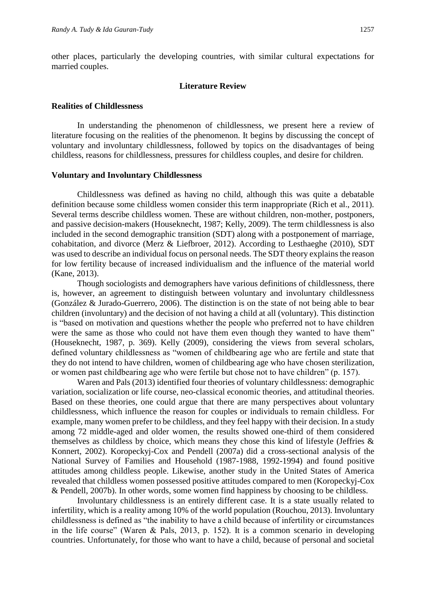other places, particularly the developing countries, with similar cultural expectations for married couples.

#### **Literature Review**

#### **Realities of Childlessness**

In understanding the phenomenon of childlessness, we present here a review of literature focusing on the realities of the phenomenon. It begins by discussing the concept of voluntary and involuntary childlessness, followed by topics on the disadvantages of being childless, reasons for childlessness, pressures for childless couples, and desire for children.

#### **Voluntary and Involuntary Childlessness**

Childlessness was defined as having no child, although this was quite a debatable definition because some childless women consider this term inappropriate (Rich et al., 2011). Several terms describe childless women. These are without children, non-mother, postponers, and passive decision-makers (Houseknecht, 1987; Kelly, 2009). The term childlessness is also included in the second demographic transition (SDT) along with a postponement of marriage, cohabitation, and divorce (Merz & Liefbroer, 2012). According to Lesthaeghe (2010), SDT was used to describe an individual focus on personal needs. The SDT theory explains the reason for low fertility because of increased individualism and the influence of the material world (Kane, 2013).

Though sociologists and demographers have various definitions of childlessness, there is, however, an agreement to distinguish between voluntary and involuntary childlessness (González & Jurado-Guerrero, 2006). The distinction is on the state of not being able to bear children (involuntary) and the decision of not having a child at all (voluntary). This distinction is "based on motivation and questions whether the people who preferred not to have children were the same as those who could not have them even though they wanted to have them" (Houseknecht, 1987, p. 369). Kelly (2009), considering the views from several scholars, defined voluntary childlessness as "women of childbearing age who are fertile and state that they do not intend to have children, women of childbearing age who have chosen sterilization, or women past childbearing age who were fertile but chose not to have children" (p. 157).

Waren and Pals (2013) identified four theories of voluntary childlessness: demographic variation, socialization or life course, neo-classical economic theories, and attitudinal theories. Based on these theories, one could argue that there are many perspectives about voluntary childlessness, which influence the reason for couples or individuals to remain childless. For example, many women prefer to be childless, and they feel happy with their decision. In a study among 72 middle-aged and older women, the results showed one-third of them considered themselves as childless by choice, which means they chose this kind of lifestyle (Jeffries & Konnert, 2002). Koropeckyj-Cox and Pendell (2007a) did a cross-sectional analysis of the National Survey of Families and Household (1987-1988, 1992-1994) and found positive attitudes among childless people. Likewise, another study in the United States of America revealed that childless women possessed positive attitudes compared to men (Koropeckyj-Cox & Pendell, 2007b). In other words, some women find happiness by choosing to be childless.

Involuntary childlessness is an entirely different case. It is a state usually related to infertility, which is a reality among 10% of the world population (Rouchou, 2013). Involuntary childlessness is defined as "the inability to have a child because of infertility or circumstances in the life course" (Waren & Pals, 2013, p. 152). It is a common scenario in developing countries. Unfortunately, for those who want to have a child, because of personal and societal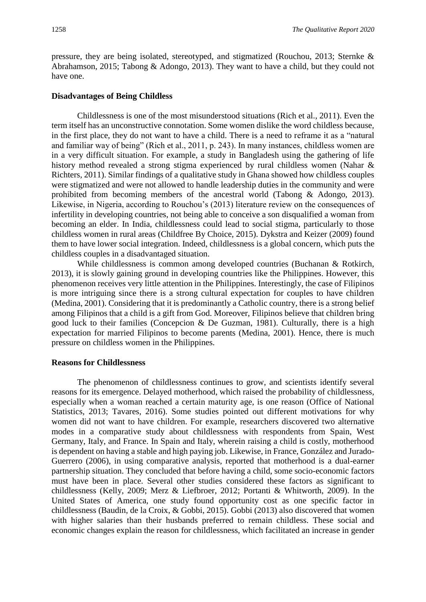pressure, they are being isolated, stereotyped, and stigmatized (Rouchou, 2013; Sternke & Abrahamson, 2015; Tabong & Adongo, 2013). They want to have a child, but they could not have one.

#### **Disadvantages of Being Childless**

Childlessness is one of the most misunderstood situations (Rich et al., 2011). Even the term itself has an unconstructive connotation. Some women dislike the word childless because, in the first place, they do not want to have a child. There is a need to reframe it as a "natural and familiar way of being" (Rich et al., 2011, p. 243). In many instances, childless women are in a very difficult situation. For example, a study in Bangladesh using the gathering of life history method revealed a strong stigma experienced by rural childless women (Nahar & Richters, 2011). Similar findings of a qualitative study in Ghana showed how childless couples were stigmatized and were not allowed to handle leadership duties in the community and were prohibited from becoming members of the ancestral world (Tabong & Adongo, 2013). Likewise, in Nigeria, according to Rouchou's (2013) literature review on the consequences of infertility in developing countries, not being able to conceive a son disqualified a woman from becoming an elder. In India, childlessness could lead to social stigma, particularly to those childless women in rural areas (Childfree By Choice, 2015). Dykstra and Keizer (2009) found them to have lower social integration. Indeed, childlessness is a global concern, which puts the childless couples in a disadvantaged situation.

While childlessness is common among developed countries (Buchanan & Rotkirch, 2013), it is slowly gaining ground in developing countries like the Philippines. However, this phenomenon receives very little attention in the Philippines. Interestingly, the case of Filipinos is more intriguing since there is a strong cultural expectation for couples to have children (Medina, 2001). Considering that it is predominantly a Catholic country, there is a strong belief among Filipinos that a child is a gift from God. Moreover, Filipinos believe that children bring good luck to their families (Concepcion & De Guzman, 1981). Culturally, there is a high expectation for married Filipinos to become parents (Medina, 2001). Hence, there is much pressure on childless women in the Philippines.

#### **Reasons for Childlessness**

The phenomenon of childlessness continues to grow, and scientists identify several reasons for its emergence. Delayed motherhood, which raised the probability of childlessness, especially when a woman reached a certain maturity age, is one reason (Office of National Statistics, 2013; Tavares, 2016). Some studies pointed out different motivations for why women did not want to have children. For example, researchers discovered two alternative modes in a comparative study about childlessness with respondents from Spain, West Germany, Italy, and France. In Spain and Italy, wherein raising a child is costly, motherhood is dependent on having a stable and high paying job. Likewise, in France, González and Jurado-Guerrero (2006), in using comparative analysis, reported that motherhood is a dual-earner partnership situation. They concluded that before having a child, some socio-economic factors must have been in place. Several other studies considered these factors as significant to childlessness (Kelly, 2009; Merz & Liefbroer, 2012; Portanti & Whitworth, 2009). In the United States of America, one study found opportunity cost as one specific factor in childlessness (Baudin, de la Croix, & Gobbi, 2015). Gobbi (2013) also discovered that women with higher salaries than their husbands preferred to remain childless. These social and economic changes explain the reason for childlessness, which facilitated an increase in gender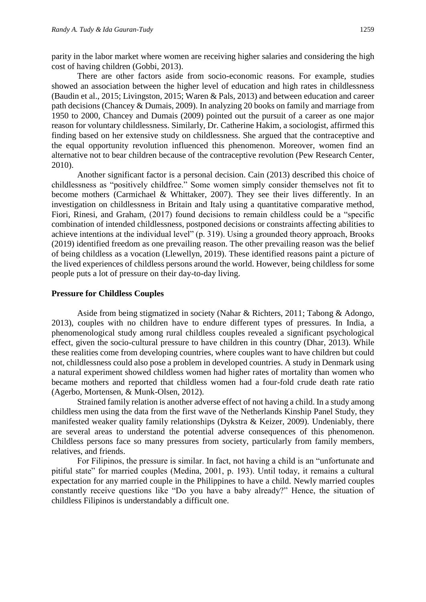parity in the labor market where women are receiving higher salaries and considering the high cost of having children (Gobbi, 2013).

There are other factors aside from socio-economic reasons. For example, studies showed an association between the higher level of education and high rates in childlessness (Baudin et al., 2015; Livingston, 2015; Waren & Pals, 2013) and between education and career path decisions (Chancey & Dumais, 2009). In analyzing 20 books on family and marriage from 1950 to 2000, Chancey and Dumais (2009) pointed out the pursuit of a career as one major reason for voluntary childlessness. Similarly, Dr. Catherine Hakim, a sociologist, affirmed this finding based on her extensive study on childlessness. She argued that the contraceptive and the equal opportunity revolution influenced this phenomenon. Moreover, women find an alternative not to bear children because of the contraceptive revolution (Pew Research Center, 2010).

Another significant factor is a personal decision. Cain (2013) described this choice of childlessness as "positively childfree." Some women simply consider themselves not fit to become mothers (Carmichael & Whittaker, 2007). They see their lives differently. In an investigation on childlessness in Britain and Italy using a quantitative comparative method, Fiori, Rinesi, and Graham, (2017) found decisions to remain childless could be a "specific combination of intended childlessness, postponed decisions or constraints affecting abilities to achieve intentions at the individual level" (p. 319). Using a grounded theory approach, Brooks (2019) identified freedom as one prevailing reason. The other prevailing reason was the belief of being childless as a vocation (Llewellyn, 2019). These identified reasons paint a picture of the lived experiences of childless persons around the world. However, being childless for some people puts a lot of pressure on their day-to-day living.

#### **Pressure for Childless Couples**

Aside from being stigmatized in society (Nahar & Richters, 2011; Tabong & Adongo, 2013), couples with no children have to endure different types of pressures. In India, a phenomenological study among rural childless couples revealed a significant psychological effect, given the socio-cultural pressure to have children in this country (Dhar, 2013). While these realities come from developing countries, where couples want to have children but could not, childlessness could also pose a problem in developed countries. A study in Denmark using a natural experiment showed childless women had higher rates of mortality than women who became mothers and reported that childless women had a four-fold crude death rate ratio (Agerbo, Mortensen, & Munk-Olsen, 2012).

Strained family relation is another adverse effect of not having a child. In a study among childless men using the data from the first wave of the Netherlands Kinship Panel Study, they manifested weaker quality family relationships (Dykstra & Keizer, 2009). Undeniably, there are several areas to understand the potential adverse consequences of this phenomenon. Childless persons face so many pressures from society, particularly from family members, relatives, and friends.

For Filipinos, the pressure is similar. In fact, not having a child is an "unfortunate and pitiful state" for married couples (Medina, 2001, p. 193). Until today, it remains a cultural expectation for any married couple in the Philippines to have a child. Newly married couples constantly receive questions like "Do you have a baby already?" Hence, the situation of childless Filipinos is understandably a difficult one.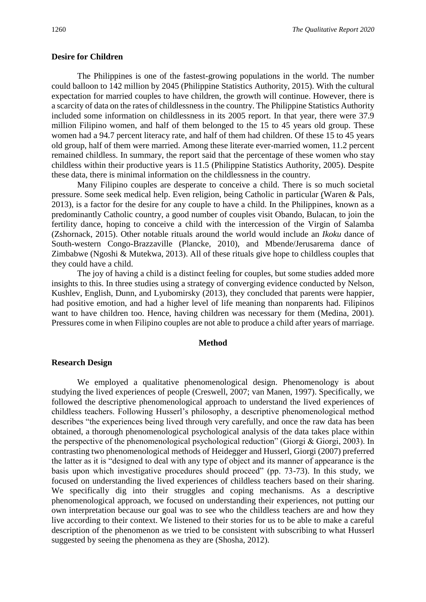#### **Desire for Children**

The Philippines is one of the fastest-growing populations in the world. The number could balloon to 142 million by 2045 (Philippine Statistics Authority, 2015). With the cultural expectation for married couples to have children, the growth will continue. However, there is a scarcity of data on the rates of childlessness in the country. The Philippine Statistics Authority included some information on childlessness in its 2005 report. In that year, there were 37.9 million Filipino women, and half of them belonged to the 15 to 45 years old group. These women had a 94.7 percent literacy rate, and half of them had children. Of these 15 to 45 years old group, half of them were married. Among these literate ever-married women, 11.2 percent remained childless. In summary, the report said that the percentage of these women who stay childless within their productive years is 11.5 (Philippine Statistics Authority, 2005). Despite these data, there is minimal information on the childlessness in the country.

Many Filipino couples are desperate to conceive a child. There is so much societal pressure. Some seek medical help. Even religion, being Catholic in particular (Waren & Pals, 2013), is a factor for the desire for any couple to have a child. In the Philippines, known as a predominantly Catholic country, a good number of couples visit Obando, Bulacan, to join the fertility dance, hoping to conceive a child with the intercession of the Virgin of Salamba (Zshornack, 2015). Other notable rituals around the world would include an *Ikoku* dance of South-western Congo-Brazzaville (Plancke, 2010), and Mbende/Jerusarema dance of Zimbabwe (Ngoshi & Mutekwa, 2013). All of these rituals give hope to childless couples that they could have a child.

The joy of having a child is a distinct feeling for couples, but some studies added more insights to this. In three studies using a strategy of converging evidence conducted by Nelson, Kushlev, English, Dunn, and Lyubomirsky (2013), they concluded that parents were happier, had positive emotion, and had a higher level of life meaning than nonparents had. Filipinos want to have children too. Hence, having children was necessary for them (Medina, 2001). Pressures come in when Filipino couples are not able to produce a child after years of marriage.

#### **Method**

#### **Research Design**

We employed a qualitative phenomenological design. Phenomenology is about studying the lived experiences of people (Creswell, 2007; van Manen, 1997). Specifically, we followed the descriptive phenomenological approach to understand the lived experiences of childless teachers. Following Husserl's philosophy, a descriptive phenomenological method describes "the experiences being lived through very carefully, and once the raw data has been obtained, a thorough phenomenological psychological analysis of the data takes place within the perspective of the phenomenological psychological reduction" (Giorgi & Giorgi, 2003). In contrasting two phenomenological methods of Heidegger and Husserl, Giorgi (2007) preferred the latter as it is "designed to deal with any type of object and its manner of appearance is the basis upon which investigative procedures should proceed" (pp. 73-73). In this study, we focused on understanding the lived experiences of childless teachers based on their sharing. We specifically dig into their struggles and coping mechanisms. As a descriptive phenomenological approach, we focused on understanding their experiences, not putting our own interpretation because our goal was to see who the childless teachers are and how they live according to their context. We listened to their stories for us to be able to make a careful description of the phenomenon as we tried to be consistent with subscribing to what Husserl suggested by seeing the phenomena as they are (Shosha, 2012).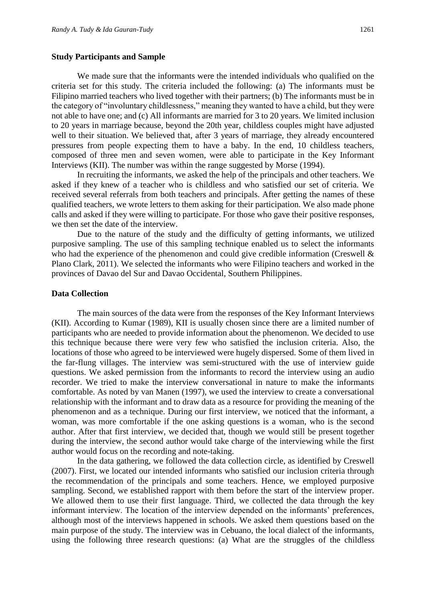#### **Study Participants and Sample**

We made sure that the informants were the intended individuals who qualified on the criteria set for this study. The criteria included the following: (a) The informants must be Filipino married teachers who lived together with their partners; (b) The informants must be in the category of "involuntary childlessness," meaning they wanted to have a child, but they were not able to have one; and (c) All informants are married for 3 to 20 years. We limited inclusion to 20 years in marriage because, beyond the 20th year, childless couples might have adjusted well to their situation. We believed that, after 3 years of marriage, they already encountered pressures from people expecting them to have a baby. In the end, 10 childless teachers, composed of three men and seven women, were able to participate in the Key Informant Interviews (KII). The number was within the range suggested by Morse (1994).

In recruiting the informants, we asked the help of the principals and other teachers. We asked if they knew of a teacher who is childless and who satisfied our set of criteria. We received several referrals from both teachers and principals. After getting the names of these qualified teachers, we wrote letters to them asking for their participation. We also made phone calls and asked if they were willing to participate. For those who gave their positive responses, we then set the date of the interview.

Due to the nature of the study and the difficulty of getting informants, we utilized purposive sampling. The use of this sampling technique enabled us to select the informants who had the experience of the phenomenon and could give credible information (Creswell & Plano Clark, 2011). We selected the informants who were Filipino teachers and worked in the provinces of Davao del Sur and Davao Occidental, Southern Philippines.

#### **Data Collection**

The main sources of the data were from the responses of the Key Informant Interviews (KII). According to Kumar (1989), KII is usually chosen since there are a limited number of participants who are needed to provide information about the phenomenon. We decided to use this technique because there were very few who satisfied the inclusion criteria. Also, the locations of those who agreed to be interviewed were hugely dispersed. Some of them lived in the far-flung villages. The interview was semi-structured with the use of interview guide questions. We asked permission from the informants to record the interview using an audio recorder. We tried to make the interview conversational in nature to make the informants comfortable. As noted by van Manen (1997), we used the interview to create a conversational relationship with the informant and to draw data as a resource for providing the meaning of the phenomenon and as a technique. During our first interview, we noticed that the informant, a woman, was more comfortable if the one asking questions is a woman, who is the second author. After that first interview, we decided that, though we would still be present together during the interview, the second author would take charge of the interviewing while the first author would focus on the recording and note-taking.

In the data gathering, we followed the data collection circle, as identified by Creswell (2007). First, we located our intended informants who satisfied our inclusion criteria through the recommendation of the principals and some teachers. Hence, we employed purposive sampling. Second, we established rapport with them before the start of the interview proper. We allowed them to use their first language. Third, we collected the data through the key informant interview. The location of the interview depended on the informants' preferences, although most of the interviews happened in schools. We asked them questions based on the main purpose of the study. The interview was in Cebuano, the local dialect of the informants, using the following three research questions: (a) What are the struggles of the childless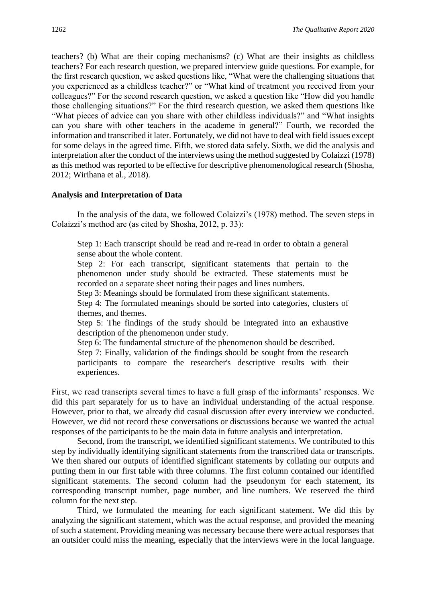teachers? (b) What are their coping mechanisms? (c) What are their insights as childless teachers? For each research question, we prepared interview guide questions. For example, for the first research question, we asked questions like, "What were the challenging situations that you experienced as a childless teacher?" or "What kind of treatment you received from your colleagues?" For the second research question, we asked a question like "How did you handle those challenging situations?" For the third research question, we asked them questions like "What pieces of advice can you share with other childless individuals?" and "What insights can you share with other teachers in the academe in general?" Fourth, we recorded the information and transcribed it later. Fortunately, we did not have to deal with field issues except for some delays in the agreed time. Fifth, we stored data safely. Sixth, we did the analysis and interpretation after the conduct of the interviews using the method suggested by Colaizzi (1978) as this method was reported to be effective for descriptive phenomenological research (Shosha, 2012; Wirihana et al., 2018).

#### **Analysis and Interpretation of Data**

In the analysis of the data, we followed Colaizzi's (1978) method. The seven steps in Colaizzi's method are (as cited by Shosha, 2012, p. 33):

Step 1: Each transcript should be read and re-read in order to obtain a general sense about the whole content.

Step 2: For each transcript, significant statements that pertain to the phenomenon under study should be extracted. These statements must be recorded on a separate sheet noting their pages and lines numbers.

Step 3: Meanings should be formulated from these significant statements.

Step 4: The formulated meanings should be sorted into categories, clusters of themes, and themes.

Step 5: The findings of the study should be integrated into an exhaustive description of the phenomenon under study.

Step 6: The fundamental structure of the phenomenon should be described.

Step 7: Finally, validation of the findings should be sought from the research participants to compare the researcher's descriptive results with their experiences.

First, we read transcripts several times to have a full grasp of the informants' responses. We did this part separately for us to have an individual understanding of the actual response. However, prior to that, we already did casual discussion after every interview we conducted. However, we did not record these conversations or discussions because we wanted the actual responses of the participants to be the main data in future analysis and interpretation.

Second, from the transcript, we identified significant statements. We contributed to this step by individually identifying significant statements from the transcribed data or transcripts. We then shared our outputs of identified significant statements by collating our outputs and putting them in our first table with three columns. The first column contained our identified significant statements. The second column had the pseudonym for each statement, its corresponding transcript number, page number, and line numbers. We reserved the third column for the next step.

Third, we formulated the meaning for each significant statement. We did this by analyzing the significant statement, which was the actual response, and provided the meaning of such a statement. Providing meaning was necessary because there were actual responses that an outsider could miss the meaning, especially that the interviews were in the local language.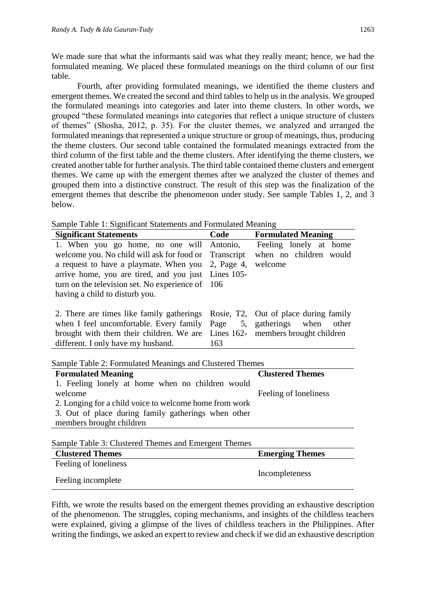We made sure that what the informants said was what they really meant; hence, we had the formulated meaning. We placed these formulated meanings on the third column of our first table.

Fourth, after providing formulated meanings, we identified the theme clusters and emergent themes. We created the second and third tables to help us in the analysis. We grouped the formulated meanings into categories and later into theme clusters. In other words, we grouped "these formulated meanings into categories that reflect a unique structure of clusters of themes" (Shosha, 2012, p. 35). For the cluster themes, we analyzed and arranged the formulated meanings that represented a unique structure or group of meanings, thus, producing the theme clusters. Our second table contained the formulated meanings extracted from the third column of the first table and the theme clusters. After identifying the theme clusters, we created another table for further analysis. The third table contained theme clusters and emergent themes. We came up with the emergent themes after we analyzed the cluster of themes and grouped them into a distinctive construct. The result of this step was the finalization of the emergent themes that describe the phenomenon under study. See sample Tables 1, 2, and 3 below.

|  |  |  |  |  | Sample Table 1: Significant Statements and Formulated Meaning |  |
|--|--|--|--|--|---------------------------------------------------------------|--|
|  |  |  |  |  |                                                               |  |

| <b>Significant Statements</b>                            | Code              | <b>Formulated Meaning</b>             |  |  |  |  |  |  |
|----------------------------------------------------------|-------------------|---------------------------------------|--|--|--|--|--|--|
| 1. When you go home, no one will                         | Antonio,          | Feeling lonely at home                |  |  |  |  |  |  |
| welcome you. No child will ask for food or               | Transcript        | when no children would                |  |  |  |  |  |  |
| a request to have a playmate. When you                   | 2, Page 4,        | welcome                               |  |  |  |  |  |  |
| arrive home, you are tired, and you just                 | <b>Lines</b> 105- |                                       |  |  |  |  |  |  |
| turn on the television set. No experience of             | 106               |                                       |  |  |  |  |  |  |
| having a child to disturb you.                           |                   |                                       |  |  |  |  |  |  |
| 2. There are times like family gatherings                |                   | Rosie, T2, Out of place during family |  |  |  |  |  |  |
| when I feel uncomfortable. Every family                  | Page              | 5, gatherings when<br>other           |  |  |  |  |  |  |
| brought with them their children. We are                 |                   | Lines 162- members brought children   |  |  |  |  |  |  |
| different. I only have my husband.                       | 163               |                                       |  |  |  |  |  |  |
|                                                          |                   |                                       |  |  |  |  |  |  |
| Sample Table 2: Formulated Meanings and Clustered Themes |                   |                                       |  |  |  |  |  |  |
| <b>Formulated Meaning</b>                                |                   | <b>Clustered Themes</b>               |  |  |  |  |  |  |
| 1. Feeling lonely at home when no children would         |                   |                                       |  |  |  |  |  |  |
| welcome                                                  |                   | Feeling of loneliness                 |  |  |  |  |  |  |
| 2. Longing for a child voice to welcome home from work   |                   |                                       |  |  |  |  |  |  |
| 3. Out of place during family gatherings when other      |                   |                                       |  |  |  |  |  |  |
| members brought children                                 |                   |                                       |  |  |  |  |  |  |
|                                                          |                   |                                       |  |  |  |  |  |  |
| Sample Table 3: Clustered Themes and Emergent Themes     |                   |                                       |  |  |  |  |  |  |
| <b>Clustered Themes</b>                                  |                   | <b>Emerging Themes</b>                |  |  |  |  |  |  |
| Feeling of loneliness                                    |                   |                                       |  |  |  |  |  |  |
| Feeling incomplete                                       | Incompleteness    |                                       |  |  |  |  |  |  |

Fifth, we wrote the results based on the emergent themes providing an exhaustive description of the phenomenon. The struggles, coping mechanisms, and insights of the childless teachers were explained, giving a glimpse of the lives of childless teachers in the Philippines. After writing the findings, we asked an expert to review and check if we did an exhaustive description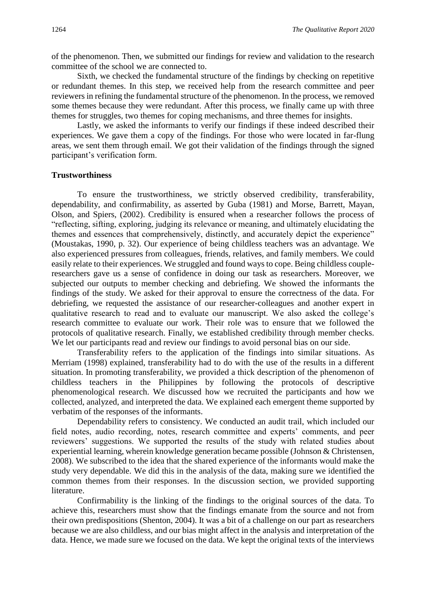of the phenomenon. Then, we submitted our findings for review and validation to the research committee of the school we are connected to.

Sixth, we checked the fundamental structure of the findings by checking on repetitive or redundant themes. In this step, we received help from the research committee and peer reviewers in refining the fundamental structure of the phenomenon. In the process, we removed some themes because they were redundant. After this process, we finally came up with three themes for struggles, two themes for coping mechanisms, and three themes for insights.

Lastly, we asked the informants to verify our findings if these indeed described their experiences. We gave them a copy of the findings. For those who were located in far-flung areas, we sent them through email. We got their validation of the findings through the signed participant's verification form.

#### **Trustworthiness**

To ensure the trustworthiness, we strictly observed credibility, transferability, dependability, and confirmability, as asserted by Guba (1981) and Morse, Barrett, Mayan, Olson, and Spiers, (2002). Credibility is ensured when a researcher follows the process of "reflecting, sifting, exploring, judging its relevance or meaning, and ultimately elucidating the themes and essences that comprehensively, distinctly, and accurately depict the experience" (Moustakas, 1990, p. 32). Our experience of being childless teachers was an advantage. We also experienced pressures from colleagues, friends, relatives, and family members. We could easily relate to their experiences. We struggled and found ways to cope. Being childless coupleresearchers gave us a sense of confidence in doing our task as researchers. Moreover, we subjected our outputs to member checking and debriefing. We showed the informants the findings of the study. We asked for their approval to ensure the correctness of the data. For debriefing, we requested the assistance of our researcher-colleagues and another expert in qualitative research to read and to evaluate our manuscript. We also asked the college's research committee to evaluate our work. Their role was to ensure that we followed the protocols of qualitative research. Finally, we established credibility through member checks. We let our participants read and review our findings to avoid personal bias on our side.

Transferability refers to the application of the findings into similar situations. As Merriam (1998) explained, transferability had to do with the use of the results in a different situation. In promoting transferability, we provided a thick description of the phenomenon of childless teachers in the Philippines by following the protocols of descriptive phenomenological research. We discussed how we recruited the participants and how we collected, analyzed, and interpreted the data. We explained each emergent theme supported by verbatim of the responses of the informants.

Dependability refers to consistency. We conducted an audit trail, which included our field notes, audio recording, notes, research committee and experts' comments, and peer reviewers' suggestions. We supported the results of the study with related studies about experiential learning, wherein knowledge generation became possible (Johnson & Christensen, 2008). We subscribed to the idea that the shared experience of the informants would make the study very dependable. We did this in the analysis of the data, making sure we identified the common themes from their responses. In the discussion section, we provided supporting literature.

Confirmability is the linking of the findings to the original sources of the data. To achieve this, researchers must show that the findings emanate from the source and not from their own predispositions (Shenton, 2004). It was a bit of a challenge on our part as researchers because we are also childless, and our bias might affect in the analysis and interpretation of the data. Hence, we made sure we focused on the data. We kept the original texts of the interviews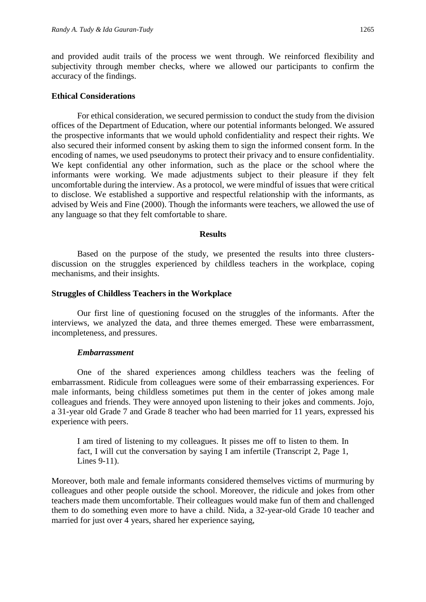and provided audit trails of the process we went through. We reinforced flexibility and subjectivity through member checks, where we allowed our participants to confirm the accuracy of the findings.

#### **Ethical Considerations**

For ethical consideration, we secured permission to conduct the study from the division offices of the Department of Education, where our potential informants belonged. We assured the prospective informants that we would uphold confidentiality and respect their rights. We also secured their informed consent by asking them to sign the informed consent form. In the encoding of names, we used pseudonyms to protect their privacy and to ensure confidentiality. We kept confidential any other information, such as the place or the school where the informants were working. We made adjustments subject to their pleasure if they felt uncomfortable during the interview. As a protocol, we were mindful of issues that were critical to disclose. We established a supportive and respectful relationship with the informants, as advised by Weis and Fine (2000). Though the informants were teachers, we allowed the use of any language so that they felt comfortable to share.

#### **Results**

Based on the purpose of the study, we presented the results into three clustersdiscussion on the struggles experienced by childless teachers in the workplace, coping mechanisms, and their insights.

#### **Struggles of Childless Teachers in the Workplace**

Our first line of questioning focused on the struggles of the informants. After the interviews, we analyzed the data, and three themes emerged. These were embarrassment, incompleteness, and pressures.

#### *Embarrassment*

One of the shared experiences among childless teachers was the feeling of embarrassment. Ridicule from colleagues were some of their embarrassing experiences. For male informants, being childless sometimes put them in the center of jokes among male colleagues and friends. They were annoyed upon listening to their jokes and comments. Jojo, a 31-year old Grade 7 and Grade 8 teacher who had been married for 11 years, expressed his experience with peers.

I am tired of listening to my colleagues. It pisses me off to listen to them. In fact, I will cut the conversation by saying I am infertile (Transcript 2, Page 1, Lines 9-11).

Moreover, both male and female informants considered themselves victims of murmuring by colleagues and other people outside the school. Moreover, the ridicule and jokes from other teachers made them uncomfortable. Their colleagues would make fun of them and challenged them to do something even more to have a child. Nida, a 32-year-old Grade 10 teacher and married for just over 4 years, shared her experience saying,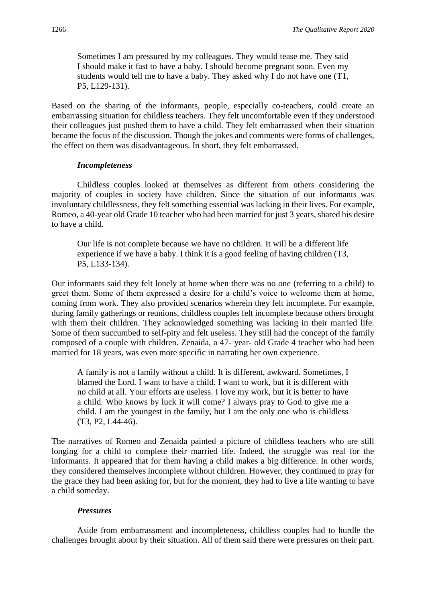Sometimes I am pressured by my colleagues. They would tease me. They said I should make it fast to have a baby. I should become pregnant soon. Even my students would tell me to have a baby. They asked why I do not have one (T1, P5, L129-131).

Based on the sharing of the informants, people, especially co-teachers, could create an embarrassing situation for childless teachers. They felt uncomfortable even if they understood their colleagues just pushed them to have a child. They felt embarrassed when their situation became the focus of the discussion. Though the jokes and comments were forms of challenges, the effect on them was disadvantageous. In short, they felt embarrassed.

#### *Incompleteness*

Childless couples looked at themselves as different from others considering the majority of couples in society have children. Since the situation of our informants was involuntary childlessness, they felt something essential was lacking in their lives. For example, Romeo, a 40-year old Grade 10 teacher who had been married for just 3 years, shared his desire to have a child.

Our life is not complete because we have no children. It will be a different life experience if we have a baby. I think it is a good feeling of having children (T3, P5, L133-134).

Our informants said they felt lonely at home when there was no one (referring to a child) to greet them. Some of them expressed a desire for a child's voice to welcome them at home, coming from work. They also provided scenarios wherein they felt incomplete. For example, during family gatherings or reunions, childless couples felt incomplete because others brought with them their children. They acknowledged something was lacking in their married life. Some of them succumbed to self-pity and felt useless. They still had the concept of the family composed of a couple with children. Zenaida, a 47- year- old Grade 4 teacher who had been married for 18 years, was even more specific in narrating her own experience.

A family is not a family without a child. It is different, awkward. Sometimes, I blamed the Lord. I want to have a child. I want to work, but it is different with no child at all. Your efforts are useless. I love my work, but it is better to have a child. Who knows by luck it will come? I always pray to God to give me a child. I am the youngest in the family, but I am the only one who is childless (T3, P2, L44-46).

The narratives of Romeo and Zenaida painted a picture of childless teachers who are still longing for a child to complete their married life. Indeed, the struggle was real for the informants. It appeared that for them having a child makes a big difference. In other words, they considered themselves incomplete without children. However, they continued to pray for the grace they had been asking for, but for the moment, they had to live a life wanting to have a child someday.

#### *Pressures*

Aside from embarrassment and incompleteness, childless couples had to hurdle the challenges brought about by their situation. All of them said there were pressures on their part.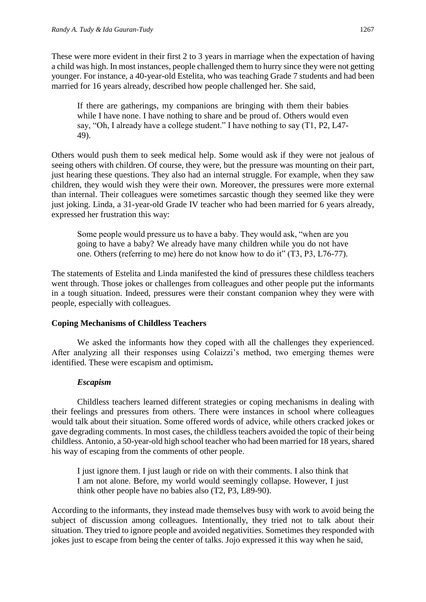These were more evident in their first 2 to 3 years in marriage when the expectation of having a child was high. In most instances, people challenged them to hurry since they were not getting younger. For instance, a 40-year-old Estelita, who was teaching Grade 7 students and had been married for 16 years already, described how people challenged her. She said,

If there are gatherings, my companions are bringing with them their babies while I have none. I have nothing to share and be proud of. Others would even say, "Oh, I already have a college student." I have nothing to say (T1, P2, L47- 49).

Others would push them to seek medical help. Some would ask if they were not jealous of seeing others with children. Of course, they were, but the pressure was mounting on their part, just hearing these questions. They also had an internal struggle. For example, when they saw children, they would wish they were their own. Moreover, the pressures were more external than internal. Their colleagues were sometimes sarcastic though they seemed like they were just joking. Linda, a 31-year-old Grade IV teacher who had been married for 6 years already, expressed her frustration this way:

Some people would pressure us to have a baby. They would ask, "when are you going to have a baby? We already have many children while you do not have one. Others (referring to me) here do not know how to do it" (T3, P3, L76-77).

The statements of Estelita and Linda manifested the kind of pressures these childless teachers went through. Those jokes or challenges from colleagues and other people put the informants in a tough situation. Indeed, pressures were their constant companion whey they were with people, especially with colleagues.

#### **Coping Mechanisms of Childless Teachers**

We asked the informants how they coped with all the challenges they experienced. After analyzing all their responses using Colaizzi's method, two emerging themes were identified. These were escapism and optimism**.**

#### *Escapism*

Childless teachers learned different strategies or coping mechanisms in dealing with their feelings and pressures from others. There were instances in school where colleagues would talk about their situation. Some offered words of advice, while others cracked jokes or gave degrading comments. In most cases, the childless teachers avoided the topic of their being childless. Antonio, a 50-year-old high school teacher who had been married for 18 years, shared his way of escaping from the comments of other people.

I just ignore them. I just laugh or ride on with their comments. I also think that I am not alone. Before, my world would seemingly collapse. However, I just think other people have no babies also (T2, P3, L89-90).

According to the informants, they instead made themselves busy with work to avoid being the subject of discussion among colleagues. Intentionally, they tried not to talk about their situation. They tried to ignore people and avoided negativities. Sometimes they responded with jokes just to escape from being the center of talks. Jojo expressed it this way when he said,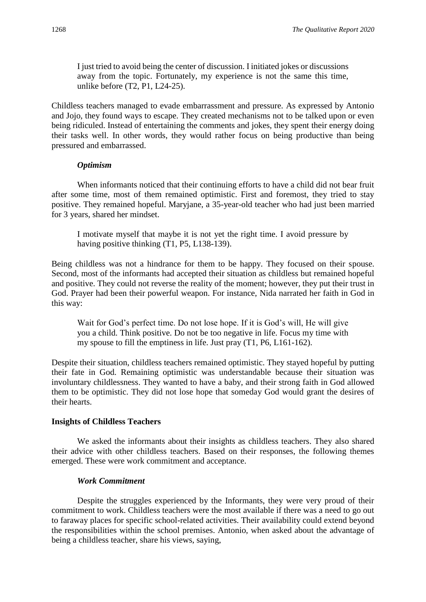I just tried to avoid being the center of discussion. I initiated jokes or discussions away from the topic. Fortunately, my experience is not the same this time, unlike before (T2, P1, L24-25).

Childless teachers managed to evade embarrassment and pressure. As expressed by Antonio and Jojo, they found ways to escape. They created mechanisms not to be talked upon or even being ridiculed. Instead of entertaining the comments and jokes, they spent their energy doing their tasks well. In other words, they would rather focus on being productive than being pressured and embarrassed.

#### *Optimism*

When informants noticed that their continuing efforts to have a child did not bear fruit after some time, most of them remained optimistic. First and foremost, they tried to stay positive. They remained hopeful. Maryjane, a 35-year-old teacher who had just been married for 3 years, shared her mindset.

I motivate myself that maybe it is not yet the right time. I avoid pressure by having positive thinking (T1, P5, L138-139).

Being childless was not a hindrance for them to be happy. They focused on their spouse. Second, most of the informants had accepted their situation as childless but remained hopeful and positive. They could not reverse the reality of the moment; however, they put their trust in God. Prayer had been their powerful weapon. For instance, Nida narrated her faith in God in this way:

Wait for God's perfect time. Do not lose hope. If it is God's will, He will give you a child. Think positive. Do not be too negative in life. Focus my time with my spouse to fill the emptiness in life. Just pray (T1, P6, L161-162).

Despite their situation, childless teachers remained optimistic. They stayed hopeful by putting their fate in God. Remaining optimistic was understandable because their situation was involuntary childlessness. They wanted to have a baby, and their strong faith in God allowed them to be optimistic. They did not lose hope that someday God would grant the desires of their hearts.

#### **Insights of Childless Teachers**

We asked the informants about their insights as childless teachers. They also shared their advice with other childless teachers. Based on their responses, the following themes emerged. These were work commitment and acceptance.

#### *Work Commitment*

Despite the struggles experienced by the Informants, they were very proud of their commitment to work. Childless teachers were the most available if there was a need to go out to faraway places for specific school-related activities. Their availability could extend beyond the responsibilities within the school premises. Antonio, when asked about the advantage of being a childless teacher, share his views, saying,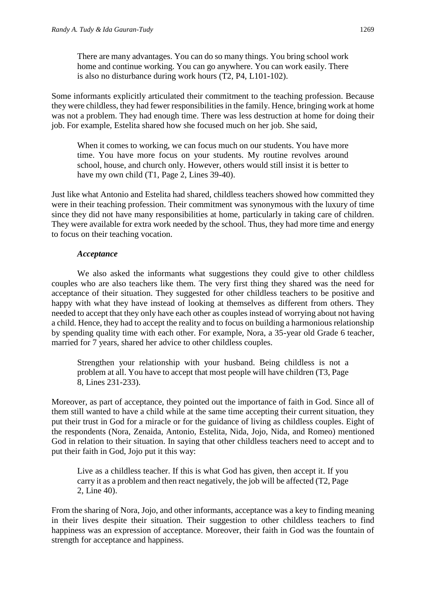There are many advantages. You can do so many things. You bring school work home and continue working. You can go anywhere. You can work easily. There is also no disturbance during work hours (T2, P4, L101-102).

Some informants explicitly articulated their commitment to the teaching profession. Because they were childless, they had fewer responsibilities in the family. Hence, bringing work at home was not a problem. They had enough time. There was less destruction at home for doing their job. For example, Estelita shared how she focused much on her job. She said,

When it comes to working, we can focus much on our students. You have more time. You have more focus on your students. My routine revolves around school, house, and church only. However, others would still insist it is better to have my own child (T1, Page 2, Lines 39-40).

Just like what Antonio and Estelita had shared, childless teachers showed how committed they were in their teaching profession. Their commitment was synonymous with the luxury of time since they did not have many responsibilities at home, particularly in taking care of children. They were available for extra work needed by the school. Thus, they had more time and energy to focus on their teaching vocation.

#### *Acceptance*

We also asked the informants what suggestions they could give to other childless couples who are also teachers like them. The very first thing they shared was the need for acceptance of their situation. They suggested for other childless teachers to be positive and happy with what they have instead of looking at themselves as different from others. They needed to accept that they only have each other as couples instead of worrying about not having a child. Hence, they had to accept the reality and to focus on building a harmonious relationship by spending quality time with each other. For example, Nora, a 35-year old Grade 6 teacher, married for 7 years, shared her advice to other childless couples.

Strengthen your relationship with your husband. Being childless is not a problem at all. You have to accept that most people will have children (T3, Page 8, Lines 231-233).

Moreover, as part of acceptance, they pointed out the importance of faith in God. Since all of them still wanted to have a child while at the same time accepting their current situation, they put their trust in God for a miracle or for the guidance of living as childless couples. Eight of the respondents (Nora, Zenaida, Antonio, Estelita, Nida, Jojo, Nida, and Romeo) mentioned God in relation to their situation. In saying that other childless teachers need to accept and to put their faith in God, Jojo put it this way:

Live as a childless teacher. If this is what God has given, then accept it. If you carry it as a problem and then react negatively, the job will be affected (T2, Page 2, Line 40).

From the sharing of Nora, Jojo, and other informants, acceptance was a key to finding meaning in their lives despite their situation. Their suggestion to other childless teachers to find happiness was an expression of acceptance. Moreover, their faith in God was the fountain of strength for acceptance and happiness.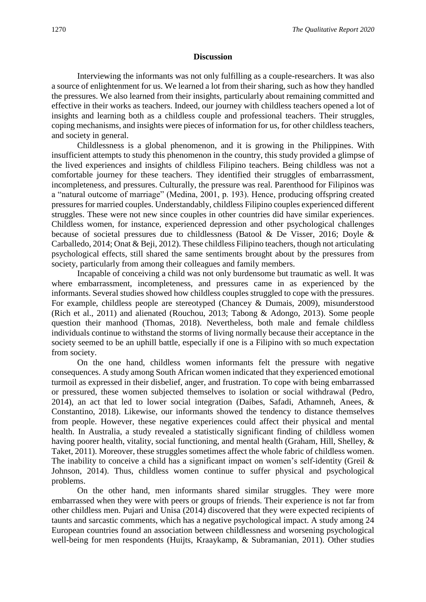#### **Discussion**

Interviewing the informants was not only fulfilling as a couple-researchers. It was also a source of enlightenment for us. We learned a lot from their sharing, such as how they handled the pressures. We also learned from their insights, particularly about remaining committed and effective in their works as teachers. Indeed, our journey with childless teachers opened a lot of insights and learning both as a childless couple and professional teachers. Their struggles, coping mechanisms, and insights were pieces of information for us, for other childless teachers, and society in general.

Childlessness is a global phenomenon, and it is growing in the Philippines. With insufficient attempts to study this phenomenon in the country, this study provided a glimpse of the lived experiences and insights of childless Filipino teachers. Being childless was not a comfortable journey for these teachers. They identified their struggles of embarrassment, incompleteness, and pressures. Culturally, the pressure was real. Parenthood for Filipinos was a "natural outcome of marriage" (Medina, 2001, p. 193). Hence, producing offspring created pressures for married couples. Understandably, childless Filipino couples experienced different struggles. These were not new since couples in other countries did have similar experiences. Childless women, for instance, experienced depression and other psychological challenges because of societal pressures due to childlessness (Batool & De Visser, 2016; Doyle & Carballedo, 2014; Onat & Beji, 2012). These childless Filipino teachers, though not articulating psychological effects, still shared the same sentiments brought about by the pressures from society, particularly from among their colleagues and family members.

Incapable of conceiving a child was not only burdensome but traumatic as well. It was where embarrassment, incompleteness, and pressures came in as experienced by the informants. Several studies showed how childless couples struggled to cope with the pressures. For example, childless people are stereotyped (Chancey & Dumais, 2009), misunderstood (Rich et al., 2011) and alienated (Rouchou, 2013; Tabong & Adongo, 2013). Some people question their manhood (Thomas, 2018). Nevertheless, both male and female childless individuals continue to withstand the storms of living normally because their acceptance in the society seemed to be an uphill battle, especially if one is a Filipino with so much expectation from society.

On the one hand, childless women informants felt the pressure with negative consequences. A study among South African women indicated that they experienced emotional turmoil as expressed in their disbelief, anger, and frustration. To cope with being embarrassed or pressured, these women subjected themselves to isolation or social withdrawal (Pedro, 2014), an act that led to lower social integration (Daibes, Safadi, Athamneh, Anees, & Constantino, 2018). Likewise, our informants showed the tendency to distance themselves from people. However, these negative experiences could affect their physical and mental health. In Australia, a study revealed a statistically significant finding of childless women having poorer health, vitality, social functioning, and mental health (Graham, Hill, Shelley, & Taket, 2011). Moreover, these struggles sometimes affect the whole fabric of childless women. The inability to conceive a child has a significant impact on women's self-identity (Greil  $\&$ Johnson, 2014). Thus, childless women continue to suffer physical and psychological problems.

On the other hand, men informants shared similar struggles. They were more embarrassed when they were with peers or groups of friends. Their experience is not far from other childless men. Pujari and Unisa (2014) discovered that they were expected recipients of taunts and sarcastic comments, which has a negative psychological impact. A study among 24 European countries found an association between childlessness and worsening psychological well-being for men respondents (Huijts, Kraaykamp, & Subramanian, 2011). Other studies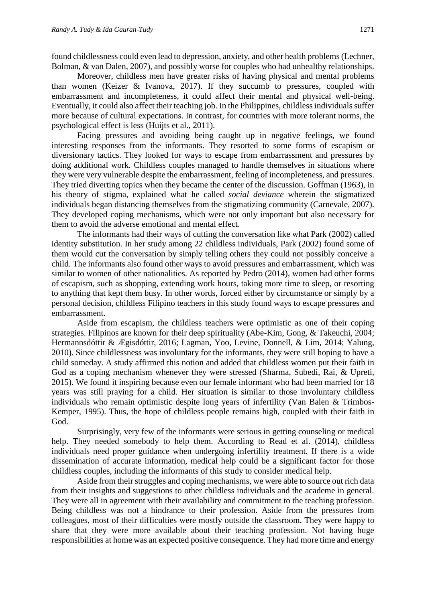found childlessness could even lead to depression, anxiety, and other health problems (Lechner, Bolman, & van Dalen, 2007), and possibly worse for couples who had unhealthy relationships.

Moreover, childless men have greater risks of having physical and mental problems than women (Keizer & Ivanova, 2017). If they succumb to pressures, coupled with embarrassment and incompleteness, it could affect their mental and physical well-being. Eventually, it could also affect their teaching job. In the Philippines, childless individuals suffer more because of cultural expectations. In contrast, for countries with more tolerant norms, the psychological effect is less (Huijts et al., 2011).

Facing pressures and avoiding being caught up in negative feelings, we found interesting responses from the informants. They resorted to some forms of escapism or diversionary tactics. They looked for ways to escape from embarrassment and pressures by doing additional work. Childless couples managed to handle themselves in situations where they were very vulnerable despite the embarrassment, feeling of incompleteness, and pressures. They tried diverting topics when they became the center of the discussion. Goffman (1963), in his theory of stigma, explained what he called *social deviance* wherein the stigmatized individuals began distancing themselves from the stigmatizing community (Carnevale, 2007). They developed coping mechanisms, which were not only important but also necessary for them to avoid the adverse emotional and mental effect.

The informants had their ways of cutting the conversation like what Park (2002) called identity substitution. In her study among 22 childless individuals, Park (2002) found some of them would cut the conversation by simply telling others they could not possibly conceive a child. The informants also found other ways to avoid pressures and embarrassment, which was similar to women of other nationalities. As reported by Pedro (2014), women had other forms of escapism, such as shopping, extending work hours, taking more time to sleep, or resorting to anything that kept them busy. In other words, forced either by circumstance or simply by a personal decision, childless Filipino teachers in this study found ways to escape pressures and embarrassment.

Aside from escapism, the childless teachers were optimistic as one of their coping strategies. Filipinos are known for their deep spirituality (Abe-Kim, Gong, & Takeuchi, 2004; Hermannsdóttir & Ægisdóttir, 2016; Lagman, Yoo, Levine, Donnell, & Lim, 2014; Yalung, 2010). Since childlessness was involuntary for the informants, they were still hoping to have a child someday. A study affirmed this notion and added that childless women put their faith in God as a coping mechanism whenever they were stressed (Sharma, Subedi, Rai, & Upreti, 2015). We found it inspiring because even our female informant who had been married for 18 years was still praying for a child. Her situation is similar to those involuntary childless individuals who remain optimistic despite long years of infertility (Van Balen & Trimbos-Kemper, 1995). Thus, the hope of childless people remains high, coupled with their faith in God.

Surprisingly, very few of the informants were serious in getting counseling or medical help. They needed somebody to help them. According to Read et al. (2014), childless individuals need proper guidance when undergoing infertility treatment. If there is a wide dissemination of accurate information, medical help could be a significant factor for those childless couples, including the informants of this study to consider medical help.

Aside from their struggles and coping mechanisms, we were able to source out rich data from their insights and suggestions to other childless individuals and the academe in general. They were all in agreement with their availability and commitment to the teaching profession. Being childless was not a hindrance to their profession. Aside from the pressures from colleagues, most of their difficulties were mostly outside the classroom. They were happy to share that they were more available about their teaching profession. Not having huge responsibilities at home was an expected positive consequence. They had more time and energy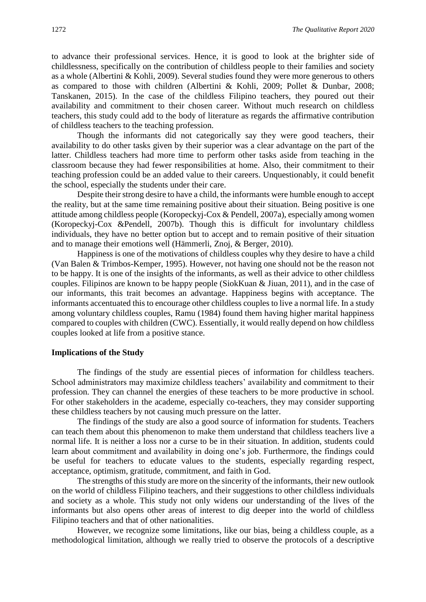to advance their professional services. Hence, it is good to look at the brighter side of childlessness, specifically on the contribution of childless people to their families and society as a whole (Albertini & Kohli, 2009). Several studies found they were more generous to others as compared to those with children (Albertini & Kohli, 2009; Pollet & Dunbar, 2008; Tanskanen, 2015). In the case of the childless Filipino teachers, they poured out their availability and commitment to their chosen career. Without much research on childless teachers, this study could add to the body of literature as regards the affirmative contribution of childless teachers to the teaching profession.

Though the informants did not categorically say they were good teachers, their availability to do other tasks given by their superior was a clear advantage on the part of the latter. Childless teachers had more time to perform other tasks aside from teaching in the classroom because they had fewer responsibilities at home. Also, their commitment to their teaching profession could be an added value to their careers. Unquestionably, it could benefit the school, especially the students under their care.

Despite their strong desire to have a child, the informants were humble enough to accept the reality, but at the same time remaining positive about their situation. Being positive is one attitude among childless people (Koropeckyj-Cox & Pendell, 2007a), especially among women (Koropeckyj-Cox &Pendell, 2007b). Though this is difficult for involuntary childless individuals, they have no better option but to accept and to remain positive of their situation and to manage their emotions well (Hämmerli, Znoj, & Berger, 2010).

Happiness is one of the motivations of childless couples why they desire to have a child (Van Balen & Trimbos-Kemper, 1995). However, not having one should not be the reason not to be happy. It is one of the insights of the informants, as well as their advice to other childless couples. Filipinos are known to be happy people (SiokKuan & Jiuan, 2011), and in the case of our informants, this trait becomes an advantage. Happiness begins with acceptance. The informants accentuated this to encourage other childless couples to live a normal life. In a study among voluntary childless couples, Ramu (1984) found them having higher marital happiness compared to couples with children (CWC). Essentially, it would really depend on how childless couples looked at life from a positive stance.

#### **Implications of the Study**

The findings of the study are essential pieces of information for childless teachers. School administrators may maximize childless teachers' availability and commitment to their profession. They can channel the energies of these teachers to be more productive in school. For other stakeholders in the academe, especially co-teachers, they may consider supporting these childless teachers by not causing much pressure on the latter.

The findings of the study are also a good source of information for students. Teachers can teach them about this phenomenon to make them understand that childless teachers live a normal life. It is neither a loss nor a curse to be in their situation. In addition, students could learn about commitment and availability in doing one's job. Furthermore, the findings could be useful for teachers to educate values to the students, especially regarding respect, acceptance, optimism, gratitude, commitment, and faith in God.

The strengths of this study are more on the sincerity of the informants, their new outlook on the world of childless Filipino teachers, and their suggestions to other childless individuals and society as a whole. This study not only widens our understanding of the lives of the informants but also opens other areas of interest to dig deeper into the world of childless Filipino teachers and that of other nationalities.

However, we recognize some limitations, like our bias, being a childless couple, as a methodological limitation, although we really tried to observe the protocols of a descriptive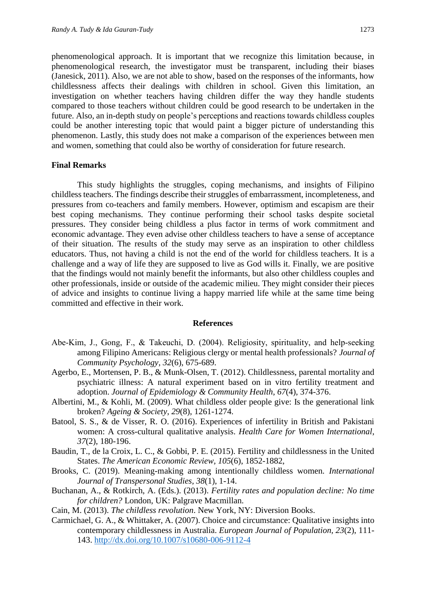phenomenological approach. It is important that we recognize this limitation because, in phenomenological research, the investigator must be transparent, including their biases (Janesick, 2011). Also, we are not able to show, based on the responses of the informants, how childlessness affects their dealings with children in school. Given this limitation, an investigation on whether teachers having children differ the way they handle students compared to those teachers without children could be good research to be undertaken in the future. Also, an in-depth study on people's perceptions and reactions towards childless couples could be another interesting topic that would paint a bigger picture of understanding this phenomenon. Lastly, this study does not make a comparison of the experiences between men and women, something that could also be worthy of consideration for future research.

#### **Final Remarks**

This study highlights the struggles, coping mechanisms, and insights of Filipino childless teachers. The findings describe their struggles of embarrassment, incompleteness, and pressures from co-teachers and family members. However, optimism and escapism are their best coping mechanisms. They continue performing their school tasks despite societal pressures. They consider being childless a plus factor in terms of work commitment and economic advantage. They even advise other childless teachers to have a sense of acceptance of their situation. The results of the study may serve as an inspiration to other childless educators. Thus, not having a child is not the end of the world for childless teachers. It is a challenge and a way of life they are supposed to live as God wills it. Finally, we are positive that the findings would not mainly benefit the informants, but also other childless couples and other professionals, inside or outside of the academic milieu. They might consider their pieces of advice and insights to continue living a happy married life while at the same time being committed and effective in their work.

#### **References**

- Abe-Kim, J., Gong, F., & Takeuchi, D. (2004). Religiosity, spirituality, and help-seeking among Filipino Americans: Religious clergy or mental health professionals? *Journal of Community Psychology*, *32*(6), 675-689.
- Agerbo, E., Mortensen, P. B., & Munk-Olsen, T. (2012). Childlessness, parental mortality and psychiatric illness: A natural experiment based on in vitro fertility treatment and adoption. *Journal of Epidemiology & Community Health*, *67*(4), 374-376.
- Albertini, M., & Kohli, M. (2009). What childless older people give: Is the generational link broken? *Ageing & Society*, *29*(8), 1261-1274.
- Batool, S. S., & de Visser, R. O. (2016). Experiences of infertility in British and Pakistani women: A cross-cultural qualitative analysis. *Health Care for Women International*, *37*(2), 180-196.
- Baudin, T., de la Croix, L. C., & Gobbi, P. E. (2015). Fertility and childlessness in the United States. *The American Economic Review, 105*(6), 1852-1882,
- Brooks, C. (2019). Meaning-making among intentionally childless women*. International Journal of Transpersonal Studies, 38*(1), 1-14.
- Buchanan, A., & Rotkirch, A. (Eds.). (2013). *Fertility rates and population decline: No time for children?* London, UK: Palgrave Macmillan.
- Cain, M. (2013). *The childless revolution*. New York, NY: Diversion Books.
- Carmichael, G. A., & Whittaker, A. (2007). Choice and circumstance: Qualitative insights into contemporary childlessness in Australia. *European Journal of Population, 23*(2), 111- 143.<http://dx.doi.org/10.1007/s10680-006-9112-4>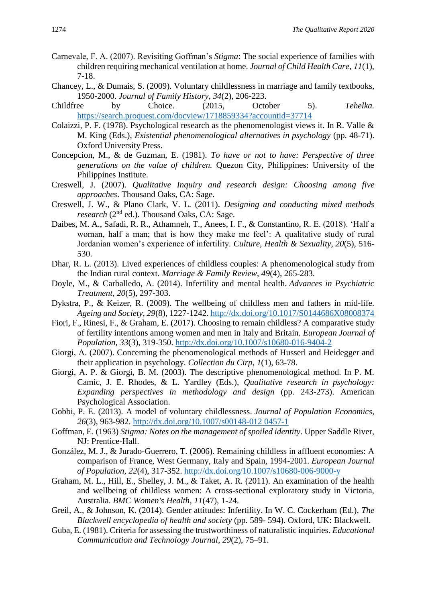- Carnevale, F. A. (2007). Revisiting Goffman's *Stigma*: The social experience of families with children requiring mechanical ventilation at home. *Journal of Child Health Care*, *11*(1), 7-18.
- Chancey, L., & Dumais, S. (2009). Voluntary childlessness in marriage and family textbooks, 1950-2000. *Journal of Family History*, *34*(2), 206-223.
- Childfree by Choice. (2015, October 5). *Tehelka.*  <https://search.proquest.com/docview/1718859334?accountid=37714>
- Colaizzi, P. F. (1978). Psychological research as the phenomenologist views it. In R. Valle & M. King (Eds.), *Existential phenomenological alternatives in psychology* (pp. 48-71). Oxford University Press.
- Concepcion, M., & de Guzman, E. (1981). *To have or not to have: Perspective of three generations on the value of children.* Quezon City, Philippines: University of the Philippines Institute.
- Creswell, J. (2007). *Qualitative Inquiry and research design: Choosing among five approaches*. Thousand Oaks, CA: Sage.
- Creswell, J. W., & Plano Clark, V. L. (2011). *Designing and conducting mixed methods research* (2<sup>nd</sup> ed.). Thousand Oaks, CA: Sage.
- Daibes, M. A., Safadi, R. R., Athamneh, T., Anees, I. F., & Constantino, R. E. (2018). 'Half a woman, half a man; that is how they make me feel': A qualitative study of rural Jordanian women's experience of infertility. *Culture, Health & Sexuality*, *20*(5), 516- 530.
- Dhar, R. L. (2013). Lived experiences of childless couples: A phenomenological study from the Indian rural context. *Marriage & Family Review*, *49*(4), 265-283.
- Doyle, M., & Carballedo, A. (2014). Infertility and mental health. *Advances in Psychiatric Treatment*, *20*(5), 297-303.
- Dykstra, P., & Keizer, R. (2009). The wellbeing of childless men and fathers in mid-life. *Ageing and Society, 29*(8), 1227-1242.<http://dx.doi.org/10.1017/S0144686X08008374>
- Fiori, F., Rinesi, F., & Graham, E. (2017). Choosing to remain childless? A comparative study of fertility intentions among women and men in Italy and Britain. *European Journal of Population, 33*(3), 319-350.<http://dx.doi.org/10.1007/s10680-016-9404-2>
- Giorgi, A. (2007). Concerning the phenomenological methods of Husserl and Heidegger and their application in psychology. *Collection du Cirp*, *1*(1), 63-78.
- Giorgi, A. P. & Giorgi, B. M. (2003). The descriptive phenomenological method. In P. M. Camic, J. E. Rhodes, & L. Yardley (Eds.), *Qualitative research in psychology: Expanding perspectives in methodology and design* (pp. 243-273). American Psychological Association.
- Gobbi, P. E. (2013). A model of voluntary childlessness. *Journal of Population Economics, 26*(3), 963-982. [http://dx.doi.org/10.1007/s00148-012 0457-1](http://dx.doi.org/10.1007/s00148-012%200457-1)
- Goffman, E. (1963) *Stigma: Notes on the management of spoiled identity*. Upper Saddle River, NJ: Prentice-Hall.
- González, M. J., & Jurado-Guerrero, T. (2006). Remaining childless in affluent economies: A comparison of France, West Germany, Italy and Spain, 1994-2001. *European Journal of Population, 22*(4), 317-352.<http://dx.doi.org/10.1007/s10680-006-9000-y>
- Graham, M. L., Hill, E., Shelley, J. M., & Taket, A. R. (2011). An examination of the health and wellbeing of childless women: A cross-sectional exploratory study in Victoria, Australia. *BMC Women's Health*, *11*(47), 1-24.
- Greil, A., & Johnson, K. (2014). Gender attitudes: Infertility. In W. C. Cockerham (Ed.), *The Blackwell encyclopedia of health and society* (pp. 589- 594). Oxford, UK: Blackwell.
- Guba, E. (1981). Criteria for assessing the trustworthiness of naturalistic inquiries. *Educational Communication and Technology Journal, 29*(2), 75–91.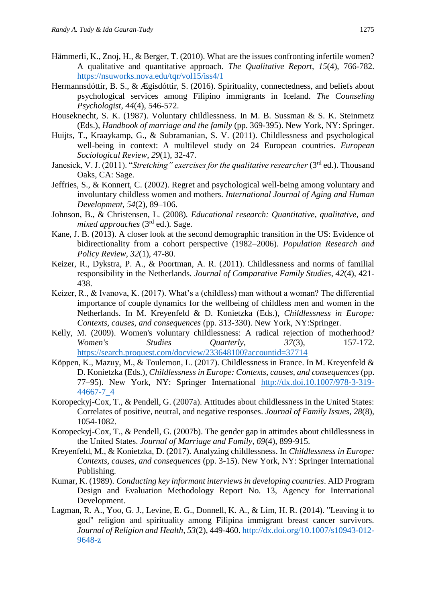- Hämmerli, K., Znoj, H., & Berger, T. (2010). What are the issues confronting infertile women? A qualitative and quantitative approach. *The Qualitative Report*, *15*(4), 766-782. <https://nsuworks.nova.edu/tqr/vol15/iss4/1>
- Hermannsdóttir, B. S., & Ægisdóttir, S. (2016). Spirituality, connectedness, and beliefs about psychological services among Filipino immigrants in Iceland. *The Counseling Psychologist*, *44*(4), 546-572.
- Houseknecht, S. K. (1987). Voluntary childlessness. In M. B. Sussman & S. K. Steinmetz (Eds.), *Handbook of marriage and the family* (pp. 369-395). New York, NY: Springer.
- Huijts, T., Kraaykamp, G., & Subramanian, S. V. (2011). Childlessness and psychological well-being in context: A multilevel study on 24 European countries. *European Sociological Review*, *29*(1), 32-47.
- Janesick, V. J. (2011). "*Stretching" exercises for the qualitative researcher* (3<sup>rd</sup> ed.). Thousand Oaks, CA: Sage.
- Jeffries, S., & Konnert, C. (2002). Regret and psychological well-being among voluntary and involuntary childless women and mothers. *International Journal of Aging and Human Development, 54*(2), 89–106.
- Johnson, B., & Christensen, L. (2008)*. Educational research: Quantitative, qualitative, and mixed approaches* (3rd ed.)*.* Sage.
- Kane, J. B. (2013). A closer look at the second demographic transition in the US: Evidence of bidirectionality from a cohort perspective (1982–2006). *Population Research and Policy Review*, *32*(1), 47-80.
- Keizer, R., Dykstra, P. A., & Poortman, A. R. (2011). Childlessness and norms of familial responsibility in the Netherlands. *Journal of Comparative Family Studies*, *42*(4), 421- 438.
- Keizer, R., & Ivanova, K. (2017). What's a (childless) man without a woman? The differential importance of couple dynamics for the wellbeing of childless men and women in the Netherlands. In M. Kreyenfeld & D. Konietzka (Eds.), *Childlessness in Europe: Contexts, causes, and consequences* (pp. 313-330). New York, NY:Springer.
- Kelly, M. (2009). Women's voluntary childlessness: A radical rejection of motherhood? *Women's Studies Quarterly, 37*(3), 157-172. <https://search.proquest.com/docview/233648100?accountid=37714>
- Köppen, K., Mazuy, M., & Toulemon, L. (2017). Childlessness in France. In M. Kreyenfeld & D. Konietzka (Eds.), *Childlessness in Europe: Contexts, causes, and consequences* (pp. 77–95). New York, NY: Springer International [http://dx.doi.10.1007/978-3-319-](http://dx.doi.10.1007/978-3-319-44667-7_4) [44667-7\\_4](http://dx.doi.10.1007/978-3-319-44667-7_4)
- Koropeckyj-Cox, T., & Pendell, G. (2007a). Attitudes about childlessness in the United States: Correlates of positive, neutral, and negative responses. *Journal of Family Issues, 28*(8), 1054-1082.
- Koropeckyj-Cox, T., & Pendell, G. (2007b). The gender gap in attitudes about childlessness in the United States. *Journal of Marriage and Family, 69*(4), 899-915.
- Kreyenfeld, M., & Konietzka, D. (2017). Analyzing childlessness. In *Childlessness in Europe: Contexts, causes, and consequences* (pp. 3-15). New York, NY: Springer International Publishing.
- Kumar, K. (1989). *Conducting key informant interviews in developing countries*. AID Program Design and Evaluation Methodology Report No. 13, Agency for International Development.
- Lagman, R. A., Yoo, G. J., Levine, E. G., Donnell, K. A., & Lim, H. R. (2014). "Leaving it to god" religion and spirituality among Filipina immigrant breast cancer survivors. *Journal of Religion and Health, 53*(2), 449-460. [http://dx.doi.org/10.1007/s10943-012-](http://dx.doi.org/10.1007/s10943-012-9648-z) [9648-z](http://dx.doi.org/10.1007/s10943-012-9648-z)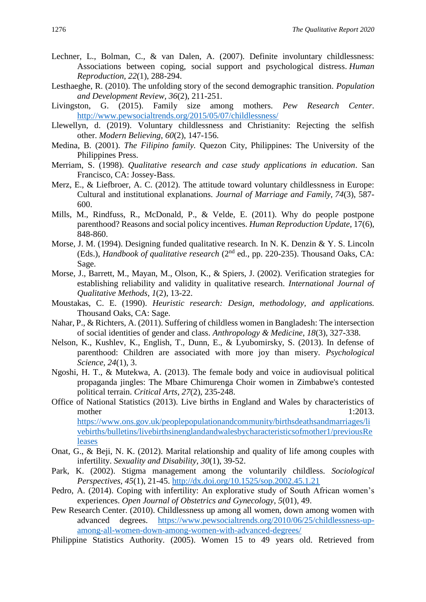- Lechner, L., Bolman, C., & van Dalen, A. (2007). Definite involuntary childlessness: Associations between coping, social support and psychological distress. *Human Reproduction, 22*(1), 288-294.
- Lesthaeghe, R. (2010). The unfolding story of the second demographic transition. *Population and Development Review, 36*(2), 211-251.
- Livingston, G. (2015). Family size among mothers. *Pew Research Center*. <http://www.pewsocialtrends.org/2015/05/07/childlessness/>
- Llewellyn, d. (2019). Voluntary childlessness and Christianity: Rejecting the selfish other. *Modern Believing*, *60*(2), 147-156.
- Medina, B. (2001). *The Filipino family.* Quezon City, Philippines: The University of the Philippines Press.
- Merriam, S. (1998). *Qualitative research and case study applications in education*. San Francisco, CA: Jossey-Bass.
- Merz, E., & Liefbroer, A. C. (2012). The attitude toward voluntary childlessness in Europe: Cultural and institutional explanations. *Journal of Marriage and Family, 74*(3), 587- 600.
- Mills, M., Rindfuss, R., McDonald, P., & Velde, E. (2011). Why do people postpone parenthood? Reasons and social policy incentives. *Human Reproduction Update*, 17(6), 848-860.
- Morse, J. M. (1994). Designing funded qualitative research. In N. K. Denzin & Y. S. Lincoln (Eds.), *Handbook of qualitative research* (2nd ed., pp. 220-235). Thousand Oaks, CA: Sage.
- Morse, J., Barrett, M., Mayan, M., Olson, K., & Spiers, J. (2002). Verification strategies for establishing reliability and validity in qualitative research. *International Journal of Qualitative Methods*, *1*(2), 13-22.
- Moustakas, C. E. (1990). *Heuristic research: Design, methodology, and applications.* Thousand Oaks, CA: Sage.
- Nahar, P., & Richters, A. (2011). Suffering of childless women in Bangladesh: The intersection of social identities of gender and class. *Anthropology & Medicine*, *18*(3), 327-338.
- Nelson, K., Kushlev, K., English, T., Dunn, E., & Lyubomirsky, S. (2013). In defense of parenthood: Children are associated with more joy than misery. *Psychological Science, 24*(1), 3.
- Ngoshi, H. T., & Mutekwa, A. (2013). The female body and voice in audiovisual political propaganda jingles: The Mbare Chimurenga Choir women in Zimbabwe's contested political terrain. *Critical Arts*, *27*(2), 235-248.
- Office of National Statistics (2013). Live births in England and Wales by characteristics of mother 1:2013. [https://www.ons.gov.uk/peoplepopulationandcommunity/birthsdeathsandmarriages/li](https://www.ons.gov.uk/peoplepopulationandcommunity/birthsdeathsandmarriages/livebirths/bulletins/livebirthsinenglandandwalesbycharacteristicsofmother1/previousReleases) [vebirths/bulletins/livebirthsinenglandandwalesbycharacteristicsofmother1/previousRe](https://www.ons.gov.uk/peoplepopulationandcommunity/birthsdeathsandmarriages/livebirths/bulletins/livebirthsinenglandandwalesbycharacteristicsofmother1/previousReleases) [leases](https://www.ons.gov.uk/peoplepopulationandcommunity/birthsdeathsandmarriages/livebirths/bulletins/livebirthsinenglandandwalesbycharacteristicsofmother1/previousReleases)
- Onat, G., & Beji, N. K. (2012). Marital relationship and quality of life among couples with infertility. *Sexuality and Disability, 30*(1), 39-52.
- Park, K. (2002). Stigma management among the voluntarily childless. *Sociological Perspectives, 45*(1), 21-45.<http://dx.doi.org/10.1525/sop.2002.45.1.21>
- Pedro, A. (2014). Coping with infertility: An explorative study of South African women's experiences. *Open Journal of Obstetrics and Gynecology*, *5*(01), 49.
- Pew Research Center. (2010). Childlessness up among all women, down among women with advanced degrees. [https://www.pewsocialtrends.org/2010/06/25/childlessness-up](https://www.pewsocialtrends.org/2010/06/25/childlessness-up-among-all-women-down-among-women-with-advanced-degrees/)[among-all-women-down-among-women-with-advanced-degrees/](https://www.pewsocialtrends.org/2010/06/25/childlessness-up-among-all-women-down-among-women-with-advanced-degrees/)
- Philippine Statistics Authority. (2005). Women 15 to 49 years old. Retrieved from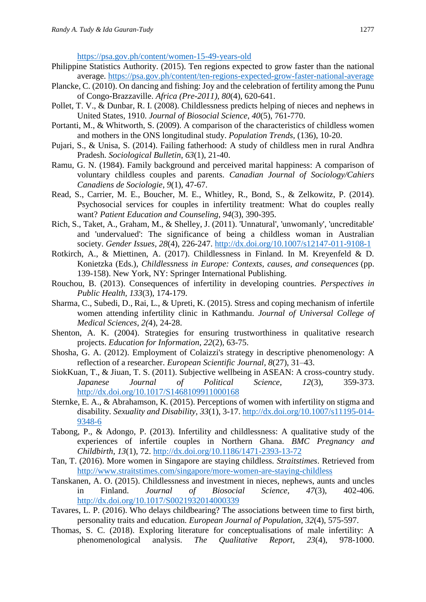<https://psa.gov.ph/content/women-15-49-years-old>

- Philippine Statistics Authority. (2015). Ten regions expected to grow faster than the national average.<https://psa.gov.ph/content/ten-regions-expected-grow-faster-national-average>
- Plancke, C. (2010). On dancing and fishing: Joy and the celebration of fertility among the Punu of Congo-Brazzaville. *Africa (Pre-2011), 80*(4), 620-641.
- Pollet, T. V., & Dunbar, R. I. (2008). Childlessness predicts helping of nieces and nephews in United States, 1910. *Journal of Biosocial Science*, *40*(5), 761-770.
- Portanti, M., & Whitworth, S. (2009). A comparison of the characteristics of childless women and mothers in the ONS longitudinal study. *Population Trends,* (136), 10-20.
- Pujari, S., & Unisa, S. (2014). Failing fatherhood: A study of childless men in rural Andhra Pradesh. *Sociological Bulletin*, *63*(1), 21-40.
- Ramu, G. N. (1984). Family background and perceived marital happiness: A comparison of voluntary childless couples and parents. *Canadian Journal of Sociology/Cahiers Canadiens de Sociologie*, *9*(1), 47-67.
- Read, S., Carrier, M. E., Boucher, M. E., Whitley, R., Bond, S., & Zelkowitz, P. (2014). Psychosocial services for couples in infertility treatment: What do couples really want? *Patient Education and Counseling*, *94*(3), 390-395.
- Rich, S., Taket, A., Graham, M., & Shelley, J. (2011). 'Unnatural', 'unwomanly', 'uncreditable' and 'undervalued': The significance of being a childless woman in Australian society. *Gender Issues, 28*(4), 226-247.<http://dx.doi.org/10.1007/s12147-011-9108-1>
- Rotkirch, A., & Miettinen, A. (2017). Childlessness in Finland. In M. Kreyenfeld & D. Konietzka (Eds.), *Childlessness in Europe: Contexts, causes, and consequences* (pp. 139-158). New York, NY: Springer International Publishing.
- Rouchou, B. (2013). Consequences of infertility in developing countries. *Perspectives in Public Health, 133*(3), 174-179.
- Sharma, C., Subedi, D., Rai, L., & Upreti, K. (2015). Stress and coping mechanism of infertile women attending infertility clinic in Kathmandu. *Journal of Universal College of Medical Sciences*, *2(*4), 24-28.
- Shenton, A. K. (2004). Strategies for ensuring trustworthiness in qualitative research projects. *Education for Information*, *22*(2), 63-75.
- Shosha, G. A. (2012). Employment of Colaizzi's strategy in descriptive phenomenology: A reflection of a researcher. *European Scientific Journal, 8*(27), 31–43.
- SiokKuan, T., & Jiuan, T. S. (2011). Subjective wellbeing in ASEAN: A cross-country study. *Japanese Journal of Political Science, 12*(3), 359-373. <http://dx.doi.org/10.1017/S1468109911000168>
- Sternke, E. A., & Abrahamson, K. (2015). Perceptions of women with infertility on stigma and disability. *Sexuality and Disability, 33*(1), 3-17. [http://dx.doi.org/10.1007/s11195-014-](http://dx.doi.org/10.1007/s11195-014-9348-6) [9348-6](http://dx.doi.org/10.1007/s11195-014-9348-6)
- Tabong, P., & Adongo, P. (2013). Infertility and childlessness: A qualitative study of the experiences of infertile couples in Northern Ghana. *BMC Pregnancy and Childbirth, 13*(1), 72.<http://dx.doi.org/10.1186/1471-2393-13-72>
- Tan, T. (2016). More women in Singapore are staying childless. *Straitstimes*. Retrieved from <http://www.straitstimes.com/singapore/more-women-are-staying-childless>
- Tanskanen, A. O. (2015). Childlessness and investment in nieces, nephews, aunts and uncles in Finland. *Journal of Biosocial Science, 47*(3), 402-406. <http://dx.doi.org/10.1017/S0021932014000339>
- Tavares, L. P. (2016). Who delays childbearing? The associations between time to first birth, personality traits and education. *European Journal of Population*, *32*(4), 575-597.
- Thomas, S. C. (2018). Exploring literature for conceptualisations of male infertility: A phenomenological analysis. *The Qualitative Report*, *23*(4), 978-1000.